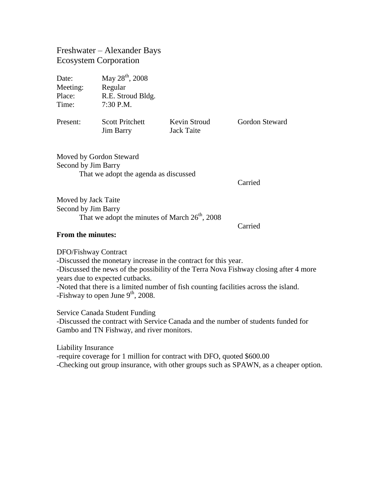Freshwater – Alexander Bays Ecosystem Corporation

Date: May 28<sup>th</sup>, 2008 Meeting: Regular Place: R.E. Stroud Bldg. Time: 7:30 P.M. Present: Scott Pritchett Kevin Stroud Gordon Steward Jim Barry Jack Taite

Moved by Gordon Steward Second by Jim Barry That we adopt the agenda as discussed

Carried

Moved by Jack Taite Second by Jim Barry That we adopt the minutes of March  $26<sup>th</sup>$ , 2008

Carried

## **From the minutes:**

DFO/Fishway Contract -Discussed the monetary increase in the contract for this year. -Discussed the news of the possibility of the Terra Nova Fishway closing after 4 more years due to expected cutbacks. -Noted that there is a limited number of fish counting facilities across the island. -Fishway to open June  $9<sup>th</sup>$ , 2008.

Service Canada Student Funding

-Discussed the contract with Service Canada and the number of students funded for Gambo and TN Fishway, and river monitors.

Liability Insurance -require coverage for 1 million for contract with DFO, quoted \$600.00 -Checking out group insurance, with other groups such as SPAWN, as a cheaper option.